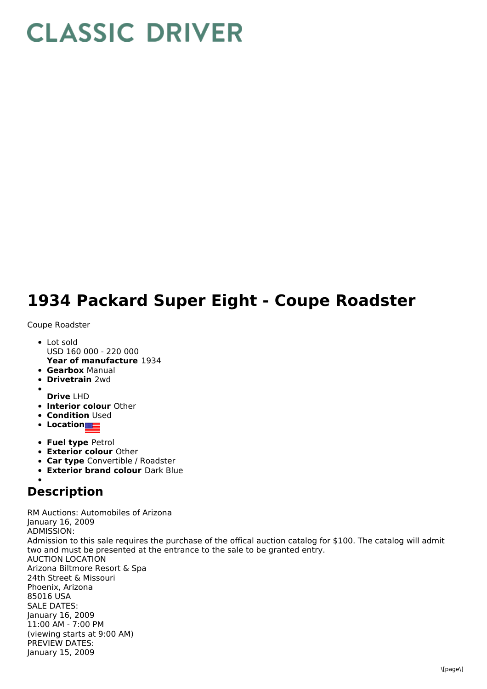## **CLASSIC DRIVER**

## **1934 Packard Super Eight - Coupe Roadster**

Coupe Roadster

- **Year of manufacture** 1934 • Lot sold USD 160 000 - 220 000
- **Gearbox** Manual
- **Drivetrain** 2wd
- **Drive** LHD
- **Interior colour** Other
- **Condition Used**
- **•** Location
- **Fuel type** Petrol
- **Exterior colour** Other
- **Car type** Convertible / Roadster
- **Exterior brand colour** Dark Blue

## **Description**

RM Auctions: Automobiles of Arizona January 16, 2009 ADMISSION: Admission to this sale requires the purchase of the offical auction catalog for \$100. The catalog will admit two and must be presented at the entrance to the sale to be granted entry. AUCTION LOCATION Arizona Biltmore Resort & Spa 24th Street & Missouri Phoenix, Arizona 85016 USA SALE DATES: January 16, 2009 11:00 AM - 7:00 PM (viewing starts at 9:00 AM) PREVIEW DATES: January 15, 2009